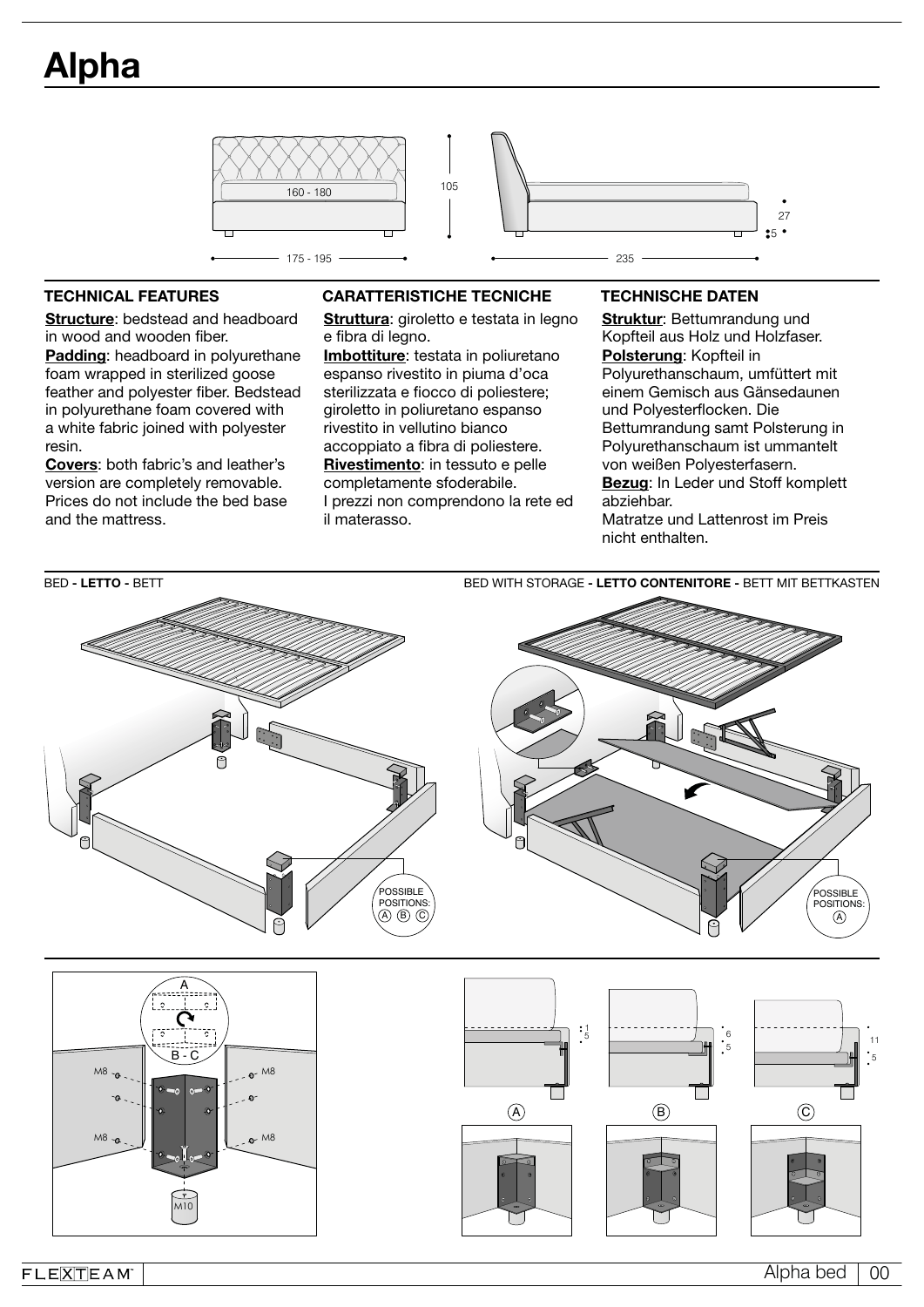

Structure: bedstead and headboard in wood and wooden fiber. Padding: headboard in polyurethane foam wrapped in sterilized goose feather and polyester fiber. Bedstead in polyurethane foam covered with a white fabric joined with polyester resin.

Covers: both fabric's and leather's version are completely removable. Prices do not include the bed base and the mattress.

## TECHNICAL FEATURES CARATTERISTICHE TECNICHE TECHNISCHE DATEN

Struttura: giroletto e testata in legno e fibra di legno.

Imbottiture: testata in poliuretano espanso rivestito in piuma d'oca sterilizzata e fiocco di poliestere; giroletto in poliuretano espanso rivestito in vellutino bianco accoppiato a fibra di poliestere. Rivestimento: in tessuto e pelle completamente sfoderabile. I prezzi non comprendono la rete ed il materasso.

Struktur: Bettumrandung und Kopfteil aus Holz und Holzfaser. Polsterung: Kopfteil in Polyurethanschaum, umfüttert mit einem Gemisch aus Gänsedaunen und Polyesterflocken. Die Bettumrandung samt Polsterung in Polyurethanschaum ist ummantelt von weißen Polyesterfasern. Bezug: In Leder und Stoff komplett abziehbar. Matratze und Lattenrost im Preis nicht enthalten.



 $FLE[\overline{X}]\overline{T}EAM$